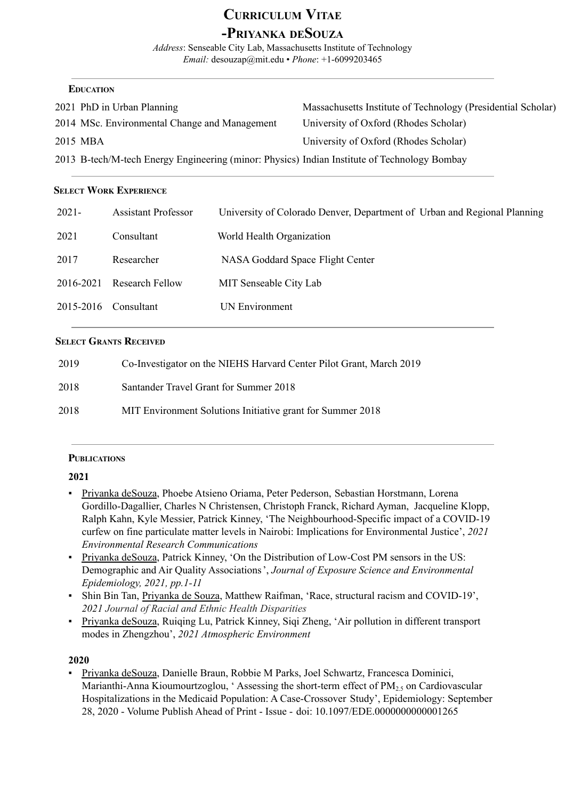### **CURRICULUM VITAE -PRIYANKA DESOUZA**

*Address*: Senseable City Lab, Massachusetts Institute of Technology *Email:* desouzap@mit.edu • *Phone*: +1-6099203465

### **EDUCATION**

| 2021 PhD in Urban Planning                                                                   | Massachusetts Institute of Technology (Presidential Scholar) |
|----------------------------------------------------------------------------------------------|--------------------------------------------------------------|
| 2014 MSc. Environmental Change and Management                                                | University of Oxford (Rhodes Scholar)                        |
| 2015 MBA                                                                                     | University of Oxford (Rhodes Scholar)                        |
| 2013 B-tech/M-tech Energy Engineering (minor: Physics) Indian Institute of Technology Bombay |                                                              |

### **SELECT WORK EXPERIENCE**

| $2021 -$               | <b>Assistant Professor</b> | University of Colorado Denver, Department of Urban and Regional Planning |
|------------------------|----------------------------|--------------------------------------------------------------------------|
| 2021                   | Consultant                 | World Health Organization                                                |
| 2017                   | Researcher                 | NASA Goddard Space Flight Center                                         |
| 2016-2021              | <b>Research Fellow</b>     | <b>MIT Senseable City Lab</b>                                            |
| $2015-2016$ Consultant |                            | UN Environment                                                           |

### **SELECT GRANTS RECEIVED**

| 2019 | Co-Investigator on the NIEHS Harvard Center Pilot Grant, March 2019 |
|------|---------------------------------------------------------------------|
| 2018 | Santander Travel Grant for Summer 2018                              |
| 2018 | MIT Environment Solutions Initiative grant for Summer 2018          |

### **PUBLICATIONS**

### **2021**

- Priyanka deSouza, Phoebe Atsieno Oriama, Peter Pederson, Sebastian Horstmann, Lorena Gordillo-Dagallier, Charles N Christensen, Christoph Franck, Richard Ayman, Jacqueline Klopp, Ralph Kahn, Kyle Messier, Patrick Kinney, 'The Neighbourhood-Specific impact of a COVID-19 curfew on fine particulate matter levels in Nairobi: Implications for Environmental Justice', *2021 Environmental Research Communications*
- Priyanka deSouza, Patrick Kinney, 'On the Distribution of Low-Cost PM sensors in the US: Demographic and Air Quality Associations', *Journal of Exposure Science and Environmental Epidemiology, 2021, pp.1-11*
- Shin Bin Tan, Priyanka de Souza, Matthew Raifman, 'Race, structural racism and COVID-19', *2021 Journal of Racial and Ethnic Health Disparities*
- Priyanka deSouza, Ruiqing Lu, Patrick Kinney, Siqi Zheng, 'Air pollution in different transport modes in Zhengzhou', *2021 Atmospheric Environment*

### **2020**

▪ Priyanka deSouza, Danielle Braun, Robbie M Parks, Joel Schwartz, Francesca Dominici, Marianthi-Anna Kioumourtzoglou, 'Assessing the short-term effect of  $PM<sub>2.5</sub>$  on Cardiovascular Hospitalizations in the Medicaid Population: A Case-Crossover Study', Epidemiology: September 28, 2020 - Volume Publish Ahead of Print - Issue - doi: 10.1097/EDE.0000000000001265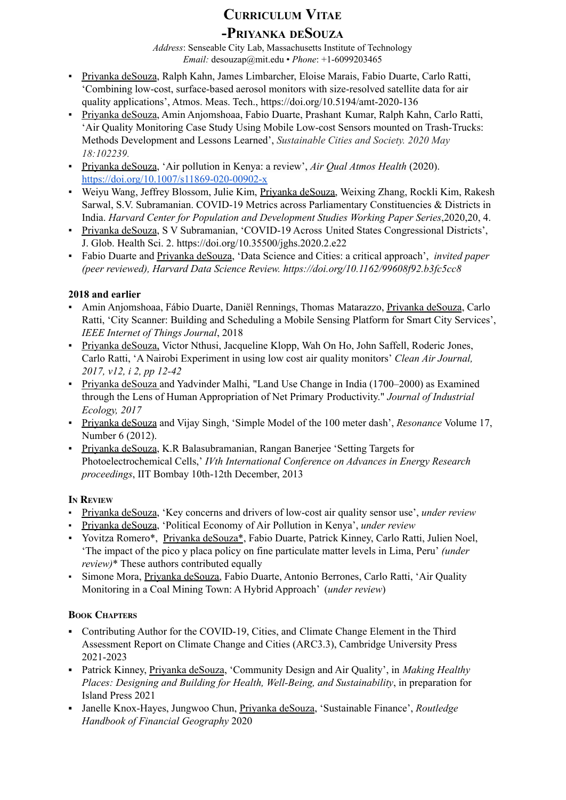# **CURRICULUM VITAE -PRIYANKA DESOUZA**

*Address*: Senseable City Lab, Massachusetts Institute of Technology *Email:* desouzap@mit.edu • *Phone*: +1-6099203465

- Priyanka deSouza, Ralph Kahn, James Limbarcher, Eloise Marais, Fabio Duarte, Carlo Ratti, 'Combining low-cost, surface-based aerosol monitors with size-resolved satellite data for air quality applications', Atmos. Meas. Tech., https://doi.org/10.5194/amt-2020-136
- Priyanka deSouza, Amin Anjomshoaa, Fabio Duarte, Prashant Kumar, Ralph Kahn, Carlo Ratti, 'Air Quality Monitoring Case Study Using Mobile Low-cost Sensors mounted on Trash-Trucks: Methods Development and Lessons Learned', *Sustainable Cities and Society. 2020 May 18:102239.*
- Priyanka deSouza, 'Air pollution in Kenya: a review', *Air Qual Atmos Health* (2020). <https://doi.org/10.1007/s11869-020-00902-x>
- Weiyu Wang, Jeffrey Blossom, Julie Kim, Priyanka deSouza, Weixing Zhang, Rockli Kim, Rakesh Sarwal, S.V. Subramanian. COVID-19 Metrics across Parliamentary Constituencies & Districts in India. *Harvard Center for Population and Development Studies Working Paper Series*,2020,20, 4.
- Priyanka deSouza, S V Subramanian, 'COVID-19 Across United States Congressional Districts', J. Glob. [Health](https://www.zotero.org/google-docs/?BIi5Je) Sci. 2. <https://doi.org/10.35500/jghs.2020.2.e22>
- Fabio Duarte and Priyanka deSouza, 'Data Science and Cities: a critical approach', *invited paper (peer reviewed), Harvard Data Science Review. https://doi.org/10.1162/99608f92.b3fc5cc8*

### **2018 and earlier**

- Amin Anjomshoaa, Fábio Duarte, Daniël Rennings, Thomas Matarazzo, Priyanka deSouza, Carlo Ratti, 'City Scanner: Building and Scheduling a Mobile Sensing Platform for Smart City Services', *IEEE Internet of Things Journal*, 2018
- Priyanka deSouza, Victor Nthusi, Jacqueline Klopp, Wah On Ho, John Saffell, Roderic Jones, Carlo Ratti, 'A Nairobi Experiment in using low cost air quality monitors' *Clean Air Journal, 2017, v12, i 2, pp 12-42*
- Priyanka deSouza and Yadvinder Malhi, "Land Use Change in India (1700–2000) as Examined through the Lens of Human Appropriation of Net Primary Productivity." *Journal of Industrial Ecology, 2017*
- Priyanka deSouza and Vijay Singh, 'Simple Model of the 100 meter dash', *Resonance* Volume 17, Number 6 (2012).
- Priyanka deSouza, K.R Balasubramanian, Rangan Banerjee 'Setting Targets for Photoelectrochemical Cells,' *IVth International Conference on Advances in Energy Research proceedings*, IIT Bombay 10th-12th December, 2013

### **I<sup>N</sup> REVIEW**

- *▪* Priyanka deSouza, 'Key concerns and drivers of low-cost air quality sensor use', *under review*
- *▪* Priyanka deSouza, 'Political Economy of Air Pollution in Kenya', *under review*
- Yovitza Romero\*, Priyanka deSouza\*, Fabio Duarte, Patrick Kinney, Carlo Ratti, Julien Noel, 'The impact of the pico y placa policy on fine particulate matter levels in Lima, Peru' *(under review)*\* These authors contributed equally
- Simone Mora, Priyanka deSouza, Fabio Duarte, Antonio Berrones, Carlo Ratti, 'Air Quality Monitoring in a Coal Mining Town: A Hybrid Approach' (*under review*)

### **BOOK CHAPTERS**

- Contributing Author for the COVID-19, Cities, and Climate Change Element in the Third Assessment Report on Climate Change and Cities (ARC3.3), Cambridge University Press 2021-2023
- Patrick Kinney, Priyanka deSouza, 'Community Design and Air Quality', in *Making Healthy Places: Designing and Building for Health, Well-Being, and Sustainability*, in preparation for Island Press 2021
- Janelle Knox-Hayes, Jungwoo Chun, Priyanka deSouza, 'Sustainable Finance', *Routledge Handbook of Financial Geography* 2020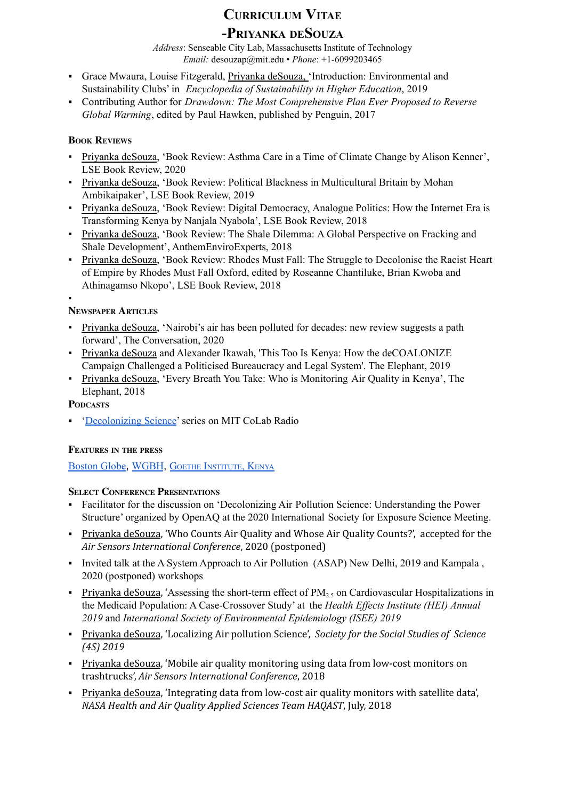# **CURRICULUM VITAE**

### **-PRIYANKA DESOUZA**

*Address*: Senseable City Lab, Massachusetts Institute of Technology *Email:* desouzap@mit.edu • *Phone*: +1-6099203465

- Grace Mwaura, Louise Fitzgerald, Priyanka deSouza, 'Introduction: Environmental and Sustainability Clubs' in *Encyclopedia of Sustainability in Higher Education*, 2019
- Contributing Author for *Drawdown: The Most Comprehensive Plan Ever Proposed to Reverse Global Warming*, edited by Paul Hawken, published by Penguin, 2017

### **BOOK REVIEWS**

- Priyanka deSouza, 'Book Review: Asthma Care in a Time of Climate Change by Alison Kenner', LSE Book Review, 2020
- Priyanka deSouza, 'Book Review: Political Blackness in Multicultural Britain by Mohan Ambikaipaker', LSE Book Review, 2019
- Priyanka deSouza, 'Book Review: Digital Democracy, Analogue Politics: How the Internet Era is Transforming Kenya by Nanjala Nyabola', LSE Book Review, 2018
- Priyanka deSouza, 'Book Review: The Shale Dilemma: A Global Perspective on Fracking and Shale Development', AnthemEnviroExperts, 2018
- Priyanka deSouza, 'Book Review: Rhodes Must Fall: The Struggle to Decolonise the Racist Heart of Empire by Rhodes Must Fall Oxford, edited by Roseanne Chantiluke, Brian Kwoba and Athinagamso Nkopo', LSE Book Review, 2018

#### ▪ **NEWSPAPER ARTICLES**

- Priyanka deSouza, 'Nairobi's air has been polluted for decades: new review suggests a path forward', The Conversation, 2020
- Priyanka deSouza and Alexander Ikawah, 'This Too Is Kenya: How the deCOALONIZE Campaign Challenged a Politicised Bureaucracy and Legal System'. The Elephant, 2019
- Priyanka deSouza, 'Every Breath You Take: Who is Monitoring Air Quality in Kenya', The Elephant, 2018

### **PODCASTS**

**•** '[Decolonizing](https://www.colab.mit.edu/colabradio-more/decolonize-science-ep1) Science' series on MIT CoLab Radio

### **FEATURES IN THE PRESS**

[Boston](https://www.bostonglobe.com/2020/03/28/metro/while-world-retreats-coronavirus-nature-catches-its-breath/?event=event25&fbclid=IwAR2LkgjXfDNIfOvl0S1MXntYwVNw0IvV7RjZBGPF6vx7gQu0ec0uxxCyLE4) Globe, [WGBH](https://www.wgbh.org/news/science-and-technology/2020/03/30/air-pollution-levels-drop-during-pandemic-response), GOETHE I[NSTITUTE](https://www.goethe.de/ins/ke/en/kul/dos/sus/21847294.html), KENYA

### **SELECT CONFERENCE PRESENTATIONS**

- Facilitator for the discussion on 'Decolonizing Air Pollution Science: Understanding the Power Structure' organized by OpenAQ at the 2020 International Society for Exposure Science Meeting.
- Priyanka deSouza, 'Who Counts Air Quality and Whose Air Quality Counts?', accepted for the *Air Sensors International Conference*, 2020 (postponed)
- Invited talk at the A System Approach to Air Pollution (ASAP) New Delhi, 2019 and Kampala , 2020 (postponed) workshops
- **Privanka deSouza, 'Assessing the short-term effect of PM**<sub>2.5</sub> on Cardiovascular Hospitalizations in the Medicaid Population: A Case-Crossover Study' at the *Health Effects Institute (HEI) Annual 2019* and *International Society of Environmental Epidemiology (ISEE) 2019*
- Priyanka deSouza, 'Localizing Air pollution Science', *Society for the Social Studies of Science (4S) 2019*
- Priyanka deSouza, 'Mobile air quality monitoring using data from low-cost monitors on trashtrucks', *Air Sensors International Conference*, 2018
- Priyanka deSouza, 'Integrating data from low-cost air quality monitors with satellite data', *NASA Health and Air Quality Applied Sciences Team HAQAST*, July, 2018